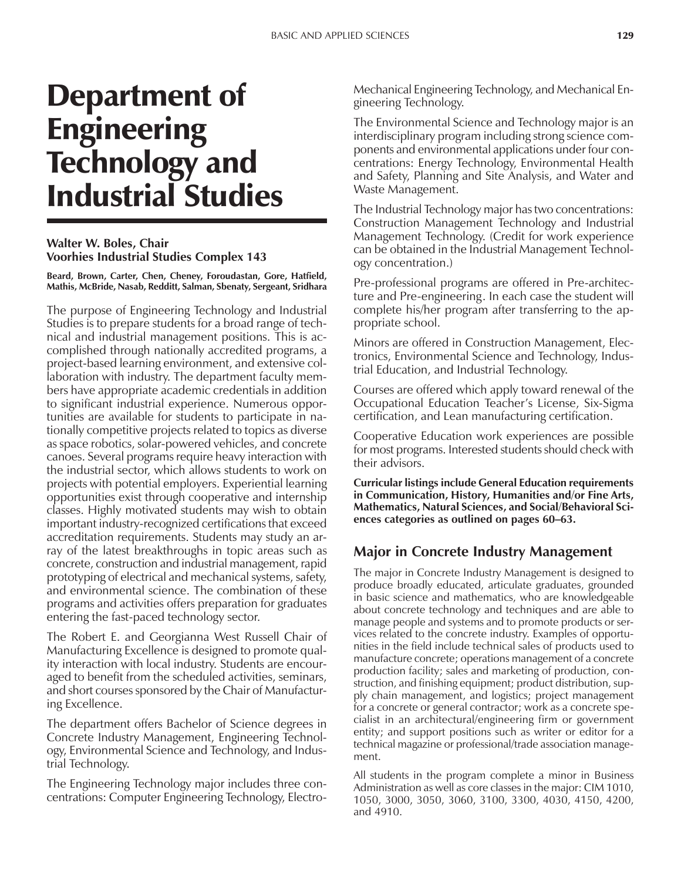# Department of Engineering Technology and Industrial Studies

#### **Walter W. Boles, Chair Voorhies Industrial Studies Complex 143**

**Beard, Brown, Carter, Chen, Cheney, Foroudastan, Gore, Hatfield, Mathis, McBride, Nasab, Redditt, Salman, Sbenaty, Sergeant, Sridhara**

The purpose of Engineering Technology and Industrial Studies is to prepare students for a broad range of technical and industrial management positions. This is accomplished through nationally accredited programs, a project-based learning environment, and extensive collaboration with industry. The department faculty members have appropriate academic credentials in addition to significant industrial experience. Numerous opportunities are available for students to participate in nationally competitive projects related to topics as diverse as space robotics, solar-powered vehicles, and concrete canoes. Several programs require heavy interaction with the industrial sector, which allows students to work on projects with potential employers. Experiential learning opportunities exist through cooperative and internship classes. Highly motivated students may wish to obtain important industry-recognized certifications that exceed accreditation requirements. Students may study an array of the latest breakthroughs in topic areas such as concrete, construction and industrial management, rapid prototyping of electrical and mechanical systems, safety, and environmental science. The combination of these programs and activities offers preparation for graduates entering the fast-paced technology sector.

The Robert E. and Georgianna West Russell Chair of Manufacturing Excellence is designed to promote quality interaction with local industry. Students are encouraged to benefit from the scheduled activities, seminars, and short courses sponsored by the Chair of Manufacturing Excellence.

The department offers Bachelor of Science degrees in Concrete Industry Management, Engineering Technology, Environmental Science and Technology, and Industrial Technology.

The Engineering Technology major includes three concentrations: Computer Engineering Technology, ElectroMechanical Engineering Technology, and Mechanical Engineering Technology.

The Environmental Science and Technology major is an interdisciplinary program including strong science components and environmental applications under four concentrations: Energy Technology, Environmental Health and Safety, Planning and Site Analysis, and Water and Waste Management.

The Industrial Technology major has two concentrations: Construction Management Technology and Industrial Management Technology. (Credit for work experience can be obtained in the Industrial Management Technology concentration.)

Pre-professional programs are offered in Pre-architecture and Pre-engineering. In each case the student will complete his/her program after transferring to the appropriate school.

Minors are offered in Construction Management, Electronics, Environmental Science and Technology, Industrial Education, and Industrial Technology.

Courses are offered which apply toward renewal of the Occupational Education Teacher's License, Six-Sigma certification, and Lean manufacturing certification.

Cooperative Education work experiences are possible for most programs. Interested students should check with their advisors.

**Curricular listings include General Education requirements in Communication, History, Humanities and/or Fine Arts, Mathematics, Natural Sciences, and Social/Behavioral Sci**ences categories as outlined on pages 60–63.

## **Major in Concrete Industry Management**

The major in Concrete Industry Management is designed to produce broadly educated, articulate graduates, grounded in basic science and mathematics, who are knowledgeable about concrete technology and techniques and are able to manage people and systems and to promote products or services related to the concrete industry. Examples of opportunities in the field include technical sales of products used to manufacture concrete; operations management of a concrete production facility; sales and marketing of production, construction, and finishing equipment; product distribution, supply chain management, and logistics; project management for a concrete or general contractor; work as a concrete specialist in an architectural/engineering firm or government entity; and support positions such as writer or editor for a technical magazine or professional/trade association management.

All students in the program complete a minor in Business Administration as well as core classes in the major: CIM 1010, 1050, 3000, 3050, 3060, 3100, 3300, 4030, 4150, 4200, and 4910.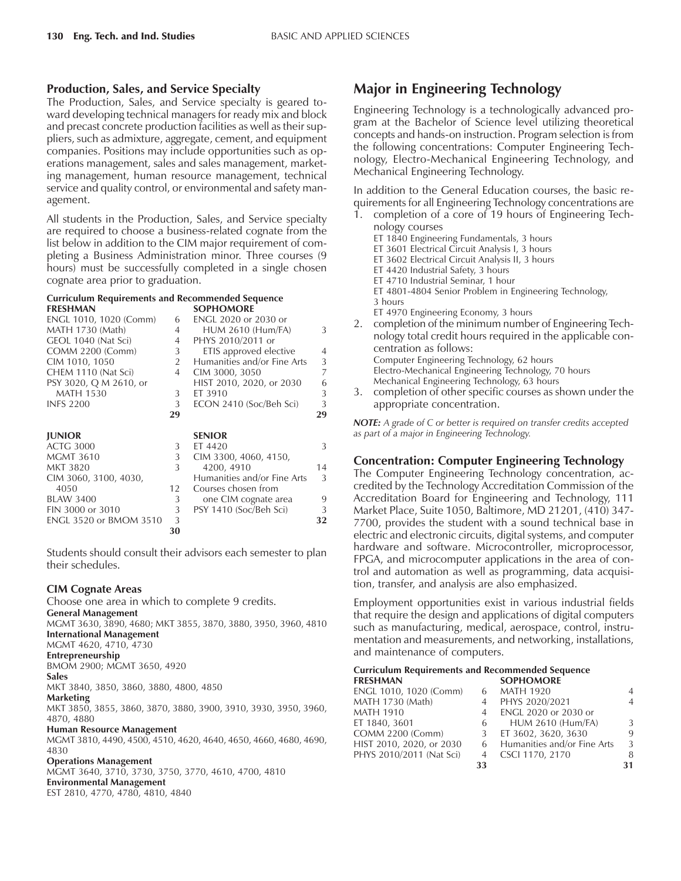## **Production, Sales, and Service Specialty**

The Production, Sales, and Service specialty is geared toward developing technical managers for ready mix and block and precast concrete production facilities as well as their suppliers, such as admixture, aggregate, cement, and equipment companies. Positions may include opportunities such as operations management, sales and sales management, marketing management, human resource management, technical service and quality control, or environmental and safety management.

All students in the Production, Sales, and Service specialty are required to choose a business-related cognate from the list below in addition to the CIM major requirement of completing a Business Administration minor. Three courses (9 hours) must be successfully completed in a single chosen cognate area prior to graduation.

#### **Curriculum Requirements and Recommended Sequence FRESHMAN**

| <b>FRESHMAN</b>               |                | SUFFIUMUKE                  |    |
|-------------------------------|----------------|-----------------------------|----|
| ENGL 1010, 1020 (Comm)        | 6              | <b>ENGL 2020 or 2030 or</b> |    |
| MATH 1730 (Math)              | 4              | <b>HUM 2610 (Hum/FA)</b>    | 3  |
| GEOL 1040 (Nat Sci)           | 4              | PHYS 2010/2011 or           |    |
| <b>COMM 2200 (Comm)</b>       | 3              | ETIS approved elective      | 4  |
| CIM 1010, 1050                | $\overline{2}$ | Humanities and/or Fine Arts | 3  |
| CHEM 1110 (Nat Sci)           | $\overline{4}$ | CIM 3000, 3050              | 7  |
| PSY 3020, Q M 2610, or        |                | HIST 2010, 2020, or 2030    | 6  |
| <b>MATH 1530</b>              | 3              | ET 3910                     | 3  |
| <b>INFS 2200</b>              | 3              | ECON 2410 (Soc/Beh Sci)     | 3  |
|                               | 29             |                             | 29 |
| <b>JUNIOR</b>                 |                | <b>SENIOR</b>               |    |
| <b>ACTG 3000</b>              | 3              | ET 4420                     | 3  |
| <b>MGMT 3610</b>              | 3              | CIM 3300, 4060, 4150,       |    |
| <b>MKT 3820</b>               | 3              | 4200, 4910                  | 14 |
| CIM 3060, 3100, 4030,         |                | Humanities and/or Fine Arts | 3  |
| 4050                          | 12             | Courses chosen from         |    |
| <b>BLAW 3400</b>              | 3              | one CIM cognate area        | 9  |
| FIN 3000 or 3010              | 3              | PSY 1410 (Soc/Beh Sci)      | 3  |
| <b>ENGL 3520 or BMOM 3510</b> | 3              |                             | 32 |
|                               | 30             |                             |    |

Students should consult their advisors each semester to plan their schedules.

## **CIM Cognate Areas**

Choose one area in which to complete 9 credits. **General Management** MGMT 3630, 3890, 4680; MKT 3855, 3870, 3880, 3950, 3960, 4810 **International Management** MGMT 4620, 4710, 4730 **Entrepreneurship** BMOM 2900; MGMT 3650, 4920 **Sales** MKT 3840, 3850, 3860, 3880, 4800, 4850 **Marketing** MKT 3850, 3855, 3860, 3870, 3880, 3900, 3910, 3930, 3950, 3960, 4870, 4880 **Human Resource Management** MGMT 3810, 4490, 4500, 4510, 4620, 4640, 4650, 4660, 4680, 4690, 4830 **Operations Management** MGMT 3640, 3710, 3730, 3750, 3770, 4610, 4700, 4810 **Environmental Management** EST 2810, 4770, 4780, 4810, 4840

# **Major in Engineering Technology**

Engineering Technology is a technologically advanced program at the Bachelor of Science level utilizing theoretical concepts and hands-on instruction. Program selection is from the following concentrations: Computer Engineering Technology, Electro-Mechanical Engineering Technology, and Mechanical Engineering Technology.

In addition to the General Education courses, the basic requirements for all Engineering Technology concentrations are

- 1. completion of a core of 19 hours of Engineering Technology courses ET 1840 Engineering Fundamentals, 3 hours ET 3601 Electrical Circuit Analysis I, 3 hours ET 3602 Electrical Circuit Analysis II, 3 hours
	- ET 4420 Industrial Safety, 3 hours
	- ET 4710 Industrial Seminar, 1 hour

ET 4801-4804 Senior Problem in Engineering Technology, 3 hours

ET 4970 Engineering Economy, 3 hours

- 2. completion of the minimum number of Engineering Technology total credit hours required in the applicable concentration as follows: Computer Engineering Technology, 62 hours Electro-Mechanical Engineering Technology, 70 hours Mechanical Engineering Technology, 63 hours
- 3. completion of other specific courses as shown under the appropriate concentration.

*NOTE: A grade of C or better is required on transfer credits accepted as part of a major in Engineering Technology.*

## **Concentration: Computer Engineering Technology**

The Computer Engineering Technology concentration, accredited by the Technology Accreditation Commission of the Accreditation Board for Engineering and Technology, 111 Market Place, Suite 1050, Baltimore, MD 21201, (410) 347- 7700, provides the student with a sound technical base in electric and electronic circuits, digital systems, and computer hardware and software. Microcontroller, microprocessor, FPGA, and microcomputer applications in the area of control and automation as well as programming, data acquisition, transfer, and analysis are also emphasized.

Employment opportunities exist in various industrial fields that require the design and applications of digital computers such as manufacturing, medical, aerospace, control, instrumentation and measurements, and networking, installations, and maintenance of computers.

#### **Curriculum Requirements and Recommended Sequence FRESHMAN SOPHOMORE**

| ENGL 1010, 1020 (Comm)   | 6  | <b>MATH 1920</b>            | 4              |
|--------------------------|----|-----------------------------|----------------|
| MATH 1730 (Math)         | 4  | PHYS 2020/2021              | $\overline{4}$ |
| MATH 1910                | 4  | ENGL 2020 or 2030 or        |                |
| ET 1840, 3601            |    | 6 HUM 2610 (Hum/FA)         | 3              |
| COMM 2200 (Comm)         |    | 3 ET 3602, 3620, 3630       | 9              |
| HIST 2010, 2020, or 2030 | 6  | Humanities and/or Fine Arts | 3              |
| PHYS 2010/2011 (Nat Sci) |    | 4 CSCI 1170, 2170           | 8              |
|                          | 33 |                             | 31             |
|                          |    |                             |                |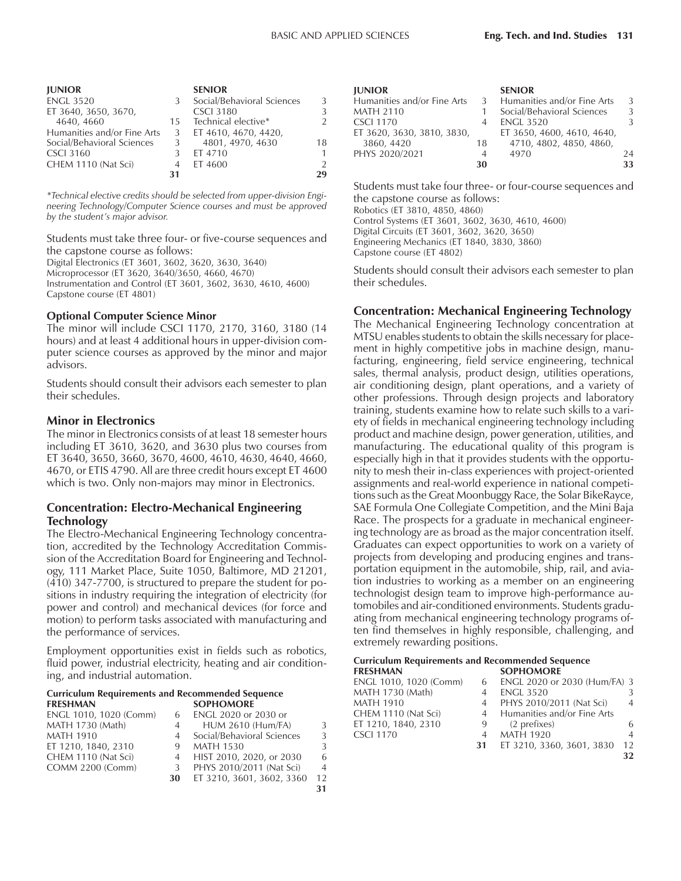| <b>JUNIOR</b>               |    | <b>SENIOR</b>              |               |
|-----------------------------|----|----------------------------|---------------|
| <b>ENGL 3520</b>            | 3  | Social/Behavioral Sciences | 3             |
| ET 3640, 3650, 3670,        |    | <b>CSCL3180</b>            | 3             |
| 4640, 4660                  | 15 | Technical elective*        | $\mathcal{P}$ |
| Humanities and/or Fine Arts | 3  | ET 4610, 4670, 4420,       |               |
| Social/Behavioral Sciences  | 3  | 4801, 4970, 4630           | 18            |
| <b>CSCI 3160</b>            |    | ET 4710                    | 1             |
| CHEM 1110 (Nat Sci)         |    | ET 4600                    | $\mathcal{P}$ |
|                             | 31 |                            | 29            |

*\*Technical elective credits should be selected from upper-division Engineering Technology/Computer Science courses and must be approved by the studentís major advisor.*

Students must take three four- or five-course sequences and the capstone course as follows: Digital Electronics (ET 3601, 3602, 3620, 3630, 3640)

Microprocessor (ET 3620, 3640/3650, 4660, 4670) Instrumentation and Control (ET 3601, 3602, 3630, 4610, 4600) Capstone course (ET 4801)

#### **Optional Computer Science Minor**

The minor will include CSCI 1170, 2170, 3160, 3180 (14 hours) and at least 4 additional hours in upper-division computer science courses as approved by the minor and major advisors.

Students should consult their advisors each semester to plan their schedules.

#### **Minor in Electronics**

The minor in Electronics consists of at least 18 semester hours including ET 3610, 3620, and 3630 plus two courses from ET 3640, 3650, 3660, 3670, 4600, 4610, 4630, 4640, 4660, 4670, or ETIS 4790. All are three credit hours except ET 4600 which is two. Only non-majors may minor in Electronics.

#### **Concentration: Electro-Mechanical Engineering Technology**

The Electro-Mechanical Engineering Technology concentration, accredited by the Technology Accreditation Commission of the Accreditation Board for Engineering and Technology, 111 Market Place, Suite 1050, Baltimore, MD 21201, (410) 347-7700, is structured to prepare the student for positions in industry requiring the integration of electricity (for power and control) and mechanical devices (for force and motion) to perform tasks associated with manufacturing and the performance of services.

Employment opportunities exist in fields such as robotics, fluid power, industrial electricity, heating and air conditioning, and industrial automation.

#### **Curriculum Requirements and Recommended Sequence FRESHMAN SOPHOMORE**

| ENGL 1010, 1020 (Comm) | 6  | ENGL 2020 or 2030 or       |                |
|------------------------|----|----------------------------|----------------|
| MATH 1730 (Math)       | 4  | <b>HUM 2610 (Hum/FA)</b>   | 3              |
| <b>MATH 1910</b>       |    | Social/Behavioral Sciences | 3              |
| ET 1210, 1840, 2310    | 9  | <b>MATH 1530</b>           | $\mathcal{R}$  |
| CHEM 1110 (Nat Sci)    |    | HIST 2010, 2020, or 2030   | 6              |
| COMM 2200 (Comm)       | 3  | PHYS 2010/2011 (Nat Sci)   | $\overline{4}$ |
|                        | 30 | ET 3210, 3601, 3602, 3360  | 12             |
|                        |    |                            | 31             |

| <b>JUNIOR</b>               |                | <b>SENIOR</b>                 |    |
|-----------------------------|----------------|-------------------------------|----|
| Humanities and/or Fine Arts |                | 3 Humanities and/or Fine Arts | 3  |
| <b>MATH 2110</b>            |                | Social/Behavioral Sciences    | 3  |
| <b>CSCI 1170</b>            |                | <b>ENGL 3520</b>              |    |
| ET 3620, 3630, 3810, 3830,  |                | ET 3650, 4600, 4610, 4640,    |    |
| 3860, 4420                  | 18             | 4710, 4802, 4850, 4860,       |    |
| PHYS 2020/2021              | $\overline{4}$ | 4970                          | 24 |
|                             | 30             |                               | 33 |

Students must take four three- or four-course sequences and the capstone course as follows:

Robotics (ET 3810, 4850, 4860) Control Systems (ET 3601, 3602, 3630, 4610, 4600) Digital Circuits (ET 3601, 3602, 3620, 3650) Engineering Mechanics (ET 1840, 3830, 3860) Capstone course (ET 4802)

Students should consult their advisors each semester to plan their schedules.

#### **Concentration: Mechanical Engineering Technology**

The Mechanical Engineering Technology concentration at MTSU enables students to obtain the skills necessary for placement in highly competitive jobs in machine design, manufacturing, engineering, field service engineering, technical sales, thermal analysis, product design, utilities operations, air conditioning design, plant operations, and a variety of other professions. Through design projects and laboratory training, students examine how to relate such skills to a variety of fields in mechanical engineering technology including product and machine design, power generation, utilities, and manufacturing. The educational quality of this program is especially high in that it provides students with the opportunity to mesh their in-class experiences with project-oriented assignments and real-world experience in national competitions such as the Great Moonbuggy Race, the Solar BikeRayce, SAE Formula One Collegiate Competition, and the Mini Baja Race. The prospects for a graduate in mechanical engineering technology are as broad as the major concentration itself. Graduates can expect opportunities to work on a variety of projects from developing and producing engines and transportation equipment in the automobile, ship, rail, and aviation industries to working as a member on an engineering technologist design team to improve high-performance automobiles and air-conditioned environments. Students graduating from mechanical engineering technology programs often find themselves in highly responsible, challenging, and extremely rewarding positions.

#### **Curriculum Requirements and Recommended Sequence FRESHMAN SOPHOMORE**<br>ENGL 1010. 1020 (Comm) 6 ENGL 2020 or ENGL 2020 or 2030 (Hum/FA) 3

| LIVEL TOTO, TOLO (COMMIT |    | $\cup$ LIVEL $\angle$ DEVED BILLES DUE THE RESERVED BILLES DUE |                |
|--------------------------|----|----------------------------------------------------------------|----------------|
| <b>MATH 1730 (Math)</b>  |    | <b>ENGL 3520</b>                                               |                |
| <b>MATH 1910</b>         |    | 4 PHYS 2010/2011 (Nat Sci)                                     | $\overline{4}$ |
| CHEM 1110 (Nat Sci)      |    | 4 Humanities and/or Fine Arts                                  |                |
| ET 1210, 1840, 2310      | 9  | (2 prefixes)                                                   | 6              |
| CSCI 1170                |    | <b>MATH 1920</b>                                               | 4              |
|                          | 31 | ET 3210, 3360, 3601, 3830                                      | - 12           |

**32**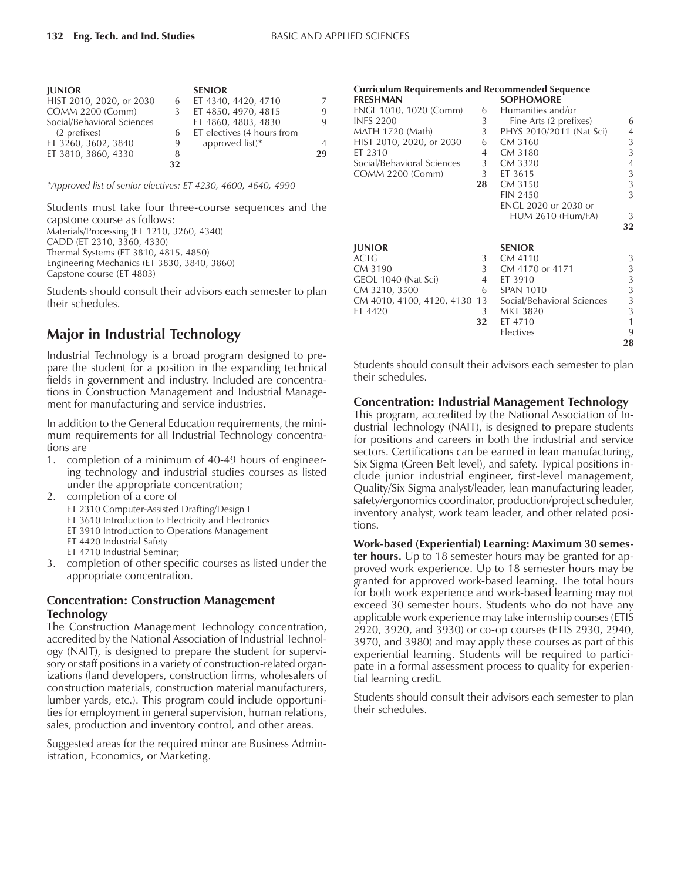| <b>JUNIOR</b>              |    | <b>SENIOR</b>              |    |
|----------------------------|----|----------------------------|----|
| HIST 2010, 2020, or 2030   | 6  | ET 4340, 4420, 4710        | 7  |
| <b>COMM 2200 (Comm)</b>    | 3  | ET 4850, 4970, 4815        | 9  |
| Social/Behavioral Sciences |    | ET 4860, 4803, 4830        | 9  |
| (2 prefixes)               | 6  | ET electives (4 hours from |    |
| ET 3260, 3602, 3840        | 9  | approved list)*            | 4  |
| ET 3810, 3860, 4330        | 8  |                            | 29 |
|                            | 32 |                            |    |

*\*Approved list of senior electives: ET 4230, 4600, 4640, 4990*

Students must take four three-course sequences and the capstone course as follows: Materials/Processing (ET 1210, 3260, 4340) CADD (ET 2310, 3360, 4330) Thermal Systems (ET 3810, 4815, 4850) Engineering Mechanics (ET 3830, 3840, 3860) Capstone course (ET 4803)

Students should consult their advisors each semester to plan their schedules.

## **Major in Industrial Technology**

Industrial Technology is a broad program designed to prepare the student for a position in the expanding technical fields in government and industry. Included are concentrations in Construction Management and Industrial Management for manufacturing and service industries.

In addition to the General Education requirements, the minimum requirements for all Industrial Technology concentrations are

- 1. completion of a minimum of 40-49 hours of engineering technology and industrial studies courses as listed under the appropriate concentration;
- 2. completion of a core of
	- ET 2310 Computer-Assisted Drafting/Design I
	- ET 3610 Introduction to Electricity and Electronics
	- ET 3910 Introduction to Operations Management
	- ET 4420 Industrial Safety
	- ET 4710 Industrial Seminar;
- 3. completion of other specific courses as listed under the appropriate concentration.

#### **Concentration: Construction Management Technology**

The Construction Management Technology concentration, accredited by the National Association of Industrial Technology (NAIT), is designed to prepare the student for supervisory or staff positions in a variety of construction-related organizations (land developers, construction firms, wholesalers of construction materials, construction material manufacturers, lumber yards, etc.). This program could include opportunities for employment in general supervision, human relations, sales, production and inventory control, and other areas.

Suggested areas for the required minor are Business Administration, Economics, or Marketing.

|                   | <b>Curriculum Requirements and Recommended Sequence</b>                            |
|-------------------|------------------------------------------------------------------------------------|
| <b>FRECISSIAN</b> | $c$ $\bigcap$ <sub>Li<math>\bigcap</math>Li<math>\bigcap</math><sub>DF</sub></sub> |

| <b>FRESHMAN</b>              |    | <b>SOPHOMORE</b>            |                |
|------------------------------|----|-----------------------------|----------------|
| ENGL 1010, 1020 (Comm)       | 6  | Humanities and/or           |                |
| <b>INFS 2200</b>             | 3  | Fine Arts (2 prefixes)      | 6              |
| <b>MATH 1720 (Math)</b>      | 3  | PHYS 2010/2011 (Nat Sci)    | $\overline{4}$ |
| HIST 2010, 2020, or 2030     | 6  | CM 3160                     | 3              |
| ET 2310                      | 4  | CM 3180                     | 3              |
| Social/Behavioral Sciences   | 3  | CM 3320                     | $\overline{4}$ |
| <b>COMM 2200 (Comm)</b>      | 3  | ET 3615                     | 3              |
|                              | 28 | CM 3150                     | 3              |
|                              |    | FIN 2450                    | 3              |
|                              |    | <b>ENGL 2020 or 2030 or</b> |                |
|                              |    | <b>HUM 2610 (Hum/FA)</b>    | 3              |
|                              |    |                             | 32             |
| <b>JUNIOR</b>                |    | <b>SENIOR</b>               |                |
| <b>ACTG</b>                  | 3  | CM 4110                     | 3              |
| CM 3190                      | 3  | CM 4170 or 4171             | 3              |
| GEOL 1040 (Nat Sci)          | 4  | ET 3910                     | 3              |
| CM 3210, 3500                | 6  | <b>SPAN 1010</b>            | 3              |
| CM 4010, 4100, 4120, 4130 13 |    | Social/Behavioral Sciences  | 3              |
| ET 4420                      | 3  | <b>MKT 3820</b>             | 3              |
|                              | 32 | ET 4710                     | 1              |
|                              |    | Electives                   | 9              |
|                              |    |                             | 28             |

Students should consult their advisors each semester to plan their schedules.

#### **Concentration: Industrial Management Technology**

This program, accredited by the National Association of Industrial Technology (NAIT), is designed to prepare students for positions and careers in both the industrial and service sectors. Certifications can be earned in lean manufacturing, Six Sigma (Green Belt level), and safety. Typical positions include junior industrial engineer, first-level management, Quality/Six Sigma analyst/leader, lean manufacturing leader, safety/ergonomics coordinator, production/project scheduler, inventory analyst, work team leader, and other related positions.

**Work-based (Experiential) Learning: Maximum 30 semester hours.** Up to 18 semester hours may be granted for approved work experience. Up to 18 semester hours may be granted for approved work-based learning. The total hours for both work experience and work-based learning may not exceed 30 semester hours. Students who do not have any applicable work experience may take internship courses (ETIS 2920, 3920, and 3930) or co-op courses (ETIS 2930, 2940, 3970, and 3980) and may apply these courses as part of this experiential learning. Students will be required to participate in a formal assessment process to quality for experiential learning credit.

Students should consult their advisors each semester to plan their schedules.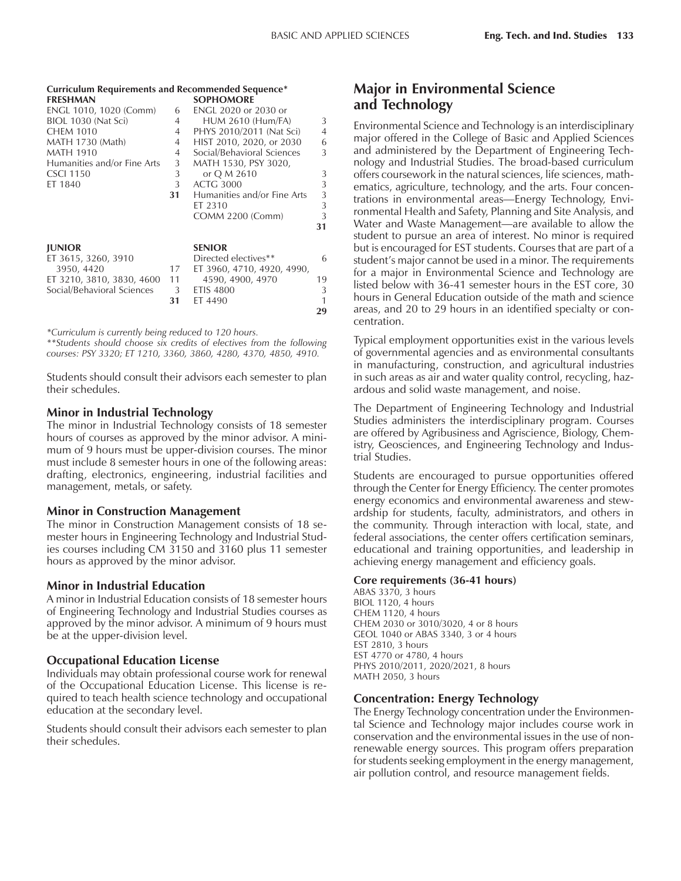| Curriculum Requirements and Recommended Sequence* |                |                             |                |
|---------------------------------------------------|----------------|-----------------------------|----------------|
| <b>FRESHMAN</b>                                   |                | <b>SOPHOMORE</b>            |                |
| ENGL 1010, 1020 (Comm)                            | 6              | ENGL 2020 or 2030 or        |                |
| BIOL 1030 (Nat Sci)                               | 4              | <b>HUM 2610 (Hum/FA)</b>    | 3              |
| <b>CHEM 1010</b>                                  | $\overline{4}$ | PHYS 2010/2011 (Nat Sci)    | $\overline{4}$ |
| MATH 1730 (Math)                                  | 4              | HIST 2010, 2020, or 2030    | 6              |
| <b>MATH 1910</b>                                  | 4              | Social/Behavioral Sciences  | 3              |
| Humanities and/or Fine Arts                       | 3              | MATH 1530, PSY 3020,        |                |
| <b>CSCI 1150</b>                                  | 3              | or Q M 2610                 | 3              |
| ET 1840                                           | 3              | <b>ACTG 3000</b>            | 3              |
|                                                   | 31             | Humanities and/or Fine Arts | 3              |
|                                                   |                | ET 2310                     | 3              |
|                                                   |                | <b>COMM 2200 (Comm)</b>     | 3              |
|                                                   |                |                             | 31             |
| <b>JUNIOR</b>                                     |                | <b>SENIOR</b>               |                |
| ET 3615, 3260, 3910                               |                | Directed electives**        | 6              |
| 3950, 4420                                        | 17             | ET 3960, 4710, 4920, 4990,  |                |
| ET 3210, 3810, 3830, 4600                         | 11             | 4590, 4900, 4970            | 19             |
| Social/Behavioral Sciences                        | 3              | <b>ETIS 4800</b>            | 3              |
|                                                   | 31             | ET 4490                     | 1              |
|                                                   |                |                             | 29             |

*\*Curriculum is currently being reduced to 120 hours.*

*\*\*Students should choose six credits of electives from the following courses: PSY 3320; ET 1210, 3360, 3860, 4280, 4370, 4850, 4910.*

Students should consult their advisors each semester to plan their schedules.

#### **Minor in Industrial Technology**

The minor in Industrial Technology consists of 18 semester hours of courses as approved by the minor advisor. A minimum of 9 hours must be upper-division courses. The minor must include 8 semester hours in one of the following areas: drafting, electronics, engineering, industrial facilities and management, metals, or safety.

#### **Minor in Construction Management**

The minor in Construction Management consists of 18 semester hours in Engineering Technology and Industrial Studies courses including CM 3150 and 3160 plus 11 semester hours as approved by the minor advisor.

#### **Minor in Industrial Education**

A minor in Industrial Education consists of 18 semester hours of Engineering Technology and Industrial Studies courses as approved by the minor advisor. A minimum of 9 hours must be at the upper-division level.

#### **Occupational Education License**

Individuals may obtain professional course work for renewal of the Occupational Education License. This license is required to teach health science technology and occupational education at the secondary level.

Students should consult their advisors each semester to plan their schedules.

## **Major in Environmental Science and Technology**

Environmental Science and Technology is an interdisciplinary major offered in the College of Basic and Applied Sciences and administered by the Department of Engineering Technology and Industrial Studies. The broad-based curriculum offers coursework in the natural sciences, life sciences, mathematics, agriculture, technology, and the arts. Four concentrations in environmental areas—Energy Technology, Environmental Health and Safety, Planning and Site Analysis, and Water and Waste Management—are available to allow the student to pursue an area of interest. No minor is required but is encouraged for EST students. Courses that are part of a studentís major cannot be used in a minor. The requirements for a major in Environmental Science and Technology are listed below with 36-41 semester hours in the EST core, 30 hours in General Education outside of the math and science areas, and 20 to 29 hours in an identified specialty or concentration.

Typical employment opportunities exist in the various levels of governmental agencies and as environmental consultants in manufacturing, construction, and agricultural industries in such areas as air and water quality control, recycling, hazardous and solid waste management, and noise.

The Department of Engineering Technology and Industrial Studies administers the interdisciplinary program. Courses are offered by Agribusiness and Agriscience, Biology, Chemistry, Geosciences, and Engineering Technology and Industrial Studies.

Students are encouraged to pursue opportunities offered through the Center for Energy Efficiency. The center promotes energy economics and environmental awareness and stewardship for students, faculty, administrators, and others in the community. Through interaction with local, state, and federal associations, the center offers certification seminars, educational and training opportunities, and leadership in achieving energy management and efficiency goals.

#### **Core requirements (36-41 hours)**

ABAS 3370, 3 hours BIOL 1120, 4 hours CHEM 1120, 4 hours CHEM 2030 or 3010/3020, 4 or 8 hours GEOL 1040 or ABAS 3340, 3 or 4 hours EST 2810, 3 hours EST 4770 or 4780, 4 hours PHYS 2010/2011, 2020/2021, 8 hours MATH 2050, 3 hours

#### **Concentration: Energy Technology**

The Energy Technology concentration under the Environmental Science and Technology major includes course work in conservation and the environmental issues in the use of nonrenewable energy sources. This program offers preparation for students seeking employment in the energy management, air pollution control, and resource management fields.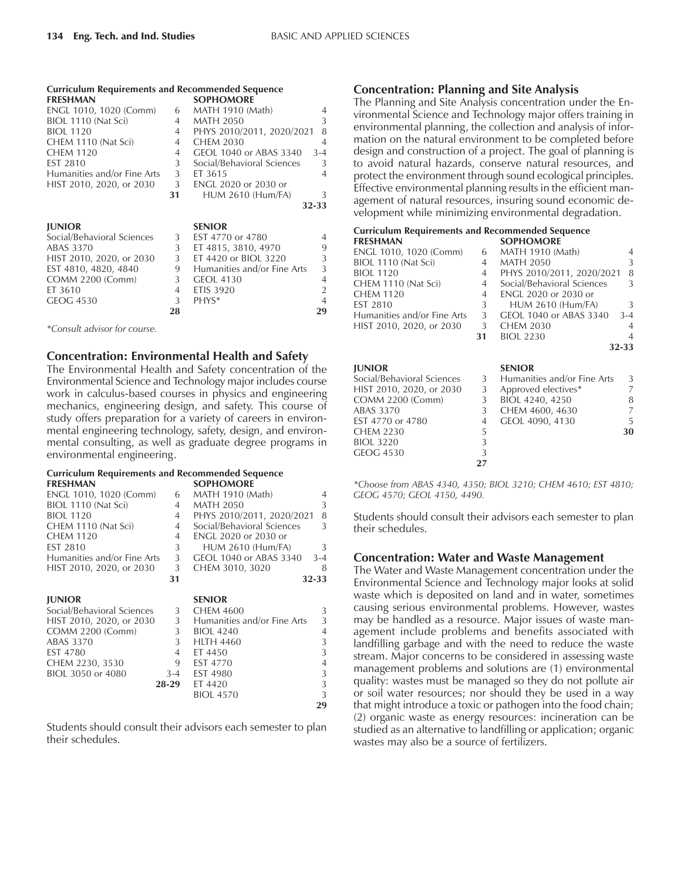| <b>Curriculum Requirements and Recommended Sequence</b> |                |                             |                |  |
|---------------------------------------------------------|----------------|-----------------------------|----------------|--|
| <b>FRESHMAN</b>                                         |                | <b>SOPHOMORE</b>            |                |  |
| ENGL 1010, 1020 (Comm)                                  | 6              | MATH 1910 (Math)            | 4              |  |
| BIOL 1110 (Nat Sci)                                     | 4              | <b>MATH 2050</b>            | 3              |  |
| <b>BIOL 1120</b>                                        | 4              | PHYS 2010/2011, 2020/2021   | 8              |  |
| CHEM 1110 (Nat Sci)                                     | 4              | <b>CHEM 2030</b>            | 4              |  |
| <b>CHEM 1120</b>                                        | 4              | GEOL 1040 or ABAS 3340      | $3 - 4$        |  |
| <b>EST 2810</b>                                         | 3              | Social/Behavioral Sciences  | 3              |  |
| Humanities and/or Fine Arts                             | 3 <sup>1</sup> | ET 3615                     | 4              |  |
| HIST 2010, 2020, or 2030                                | 3 <sup>7</sup> | <b>ENGL 2020 or 2030 or</b> |                |  |
|                                                         | 31             | <b>HUM 2610 (Hum/FA)</b>    | 3              |  |
|                                                         |                |                             | 32-33          |  |
|                                                         |                |                             |                |  |
| <b>JUNIOR</b>                                           |                | <b>SENIOR</b>               |                |  |
| Social/Behavioral Sciences                              | 3              | EST 4770 or 4780            | 4              |  |
| ABAS 3370                                               | 3              | ET 4815, 3810, 4970         | 9              |  |
| HIST 2010, 2020, or 2030                                | 3              | ET 4420 or BIOL 3220        | 3              |  |
| EST 4810, 4820, 4840                                    | 9              | Humanities and/or Fine Arts | 3              |  |
| <b>COMM 2200 (Comm)</b>                                 | 3              | <b>GEOL 4130</b>            | 4              |  |
| ET 3610                                                 | 4              | <b>ETIS 3920</b>            | $\overline{2}$ |  |
| GEOG 4530                                               | 3              | PHYS*                       | $\overline{4}$ |  |
|                                                         | 28             |                             | 29             |  |
| *Consult advisor for course.                            |                |                             |                |  |

#### **Concentration: Environmental Health and Safety**

The Environmental Health and Safety concentration of the Environmental Science and Technology major includes course work in calculus-based courses in physics and engineering mechanics, engineering design, and safety. This course of study offers preparation for a variety of careers in environmental engineering technology, safety, design, and environmental consulting, as well as graduate degree programs in environmental engineering.

#### **Curriculum Requirements and Recommended Sequence**

|    | <b>SOPHOMORE</b>            |         |
|----|-----------------------------|---------|
| 6  | <b>MATH 1910 (Math)</b>     |         |
| 4  | <b>MATH 2050</b>            | 3       |
| 4  | PHYS 2010/2011, 2020/2021   | 8       |
| 4  | Social/Behavioral Sciences  | 3       |
| 4  | <b>ENGL 2020 or 2030 or</b> |         |
| 3  | <b>HUM 2610 (Hum/FA)</b>    | -3      |
| 3  | GEOL 1040 or ABAS 3340      | $3 - 4$ |
| 3  | CHEM 3010, 3020             |         |
| 31 | 32-33                       |         |
|    |                             |         |
|    |                             |         |

| <b>IUNIOR</b>              |         | <b>SENIOR</b>               |                |
|----------------------------|---------|-----------------------------|----------------|
| Social/Behavioral Sciences | 3       | <b>CHEM 4600</b>            | 3              |
| HIST 2010, 2020, or 2030   | 3       | Humanities and/or Fine Arts | 3              |
| <b>COMM 2200 (Comm)</b>    | 3       | <b>BIOL 4240</b>            | $\overline{4}$ |
| ABAS 3370                  | 3       | <b>HLTH 4460</b>            | 3              |
| EST 4780                   | 4       | ET 4450                     | 3              |
| CHEM 2230, 3530            | 9       | EST 4770                    | $\overline{4}$ |
| BIOL 3050 or 4080          | $3 - 4$ | EST 4980                    | 3              |
|                            | 28-29   | ET 4420                     | 3              |
|                            |         | <b>BIOL 4570</b>            | 3              |
|                            |         |                             | 29             |

Students should consult their advisors each semester to plan their schedules.

#### **Concentration: Planning and Site Analysis**

The Planning and Site Analysis concentration under the Environmental Science and Technology major offers training in environmental planning, the collection and analysis of information on the natural environment to be completed before design and construction of a project. The goal of planning is to avoid natural hazards, conserve natural resources, and protect the environment through sound ecological principles. Effective environmental planning results in the efficient management of natural resources, insuring sound economic development while minimizing environmental degradation.

|                 |  | <b>Curriculum Requirements and Recommended Sequence</b> |
|-----------------|--|---------------------------------------------------------|
| <b>FRESHMAN</b> |  | <b>SOPHOMORE</b>                                        |

| ENGL 1010, 1020 (Comm)      | 6  | MATH 1910 (Math)            | 4       |
|-----------------------------|----|-----------------------------|---------|
| BIOL 1110 (Nat Sci)         | 4  | <b>MATH 2050</b>            | 3       |
| <b>BIOL 1120</b>            | 4  | PHYS 2010/2011, 2020/2021   | 8       |
| CHEM 1110 (Nat Sci)         | 4  | Social/Behavioral Sciences  | 3       |
| <b>CHEM 1120</b>            | 4  | <b>ENGL 2020 or 2030 or</b> |         |
| EST 2810                    | 3  | <b>HUM 2610 (Hum/FA)</b>    | 3       |
| Humanities and/or Fine Arts | 3  | GEOL 1040 or ABAS 3340      | $3 - 4$ |
| HIST 2010, 2020, or 2030    | 3  | <b>CHEM 2030</b>            | 4       |
|                             | 31 | <b>BIOL 2230</b>            | 4       |
|                             |    |                             | 32-33   |
|                             |    |                             |         |
| <b>JUNIOR</b>               |    | <b>SENIOR</b>               |         |
| Social/Behavioral Sciences  | 3  | Humanities and/or Fine Arts | 3       |
| HIST 2010, 2020, or 2030    | 3  | Approved electives*         |         |
| <b>COMM 2200 (Comm)</b>     | 3  | BIOL 4240, 4250             | 8       |
| ABAS 3370                   | 3  | CHEM 4600, 4630             |         |
| EST 4770 or 4780            | 4  | GEOL 4090, 4130             | 5       |
| <b>CHEM 2230</b>            | 5  |                             | 30      |
| <b>BIOL 3220</b>            | 3  |                             |         |
| <b>GEOG 4530</b>            | 3  |                             |         |
|                             |    |                             |         |

*\*Choose from ABAS 4340, 4350; BIOL 3210; CHEM 4610; EST 4810; GEOG 4570; GEOL 4150, 4490.*

**27**

Students should consult their advisors each semester to plan their schedules.

#### **Concentration: Water and Waste Management**

The Water and Waste Management concentration under the Environmental Science and Technology major looks at solid waste which is deposited on land and in water, sometimes causing serious environmental problems. However, wastes may be handled as a resource. Major issues of waste management include problems and benefits associated with landfilling garbage and with the need to reduce the waste stream. Major concerns to be considered in assessing waste management problems and solutions are (1) environmental quality: wastes must be managed so they do not pollute air or soil water resources; nor should they be used in a way that might introduce a toxic or pathogen into the food chain; (2) organic waste as energy resources: incineration can be studied as an alternative to landfilling or application; organic wastes may also be a source of fertilizers.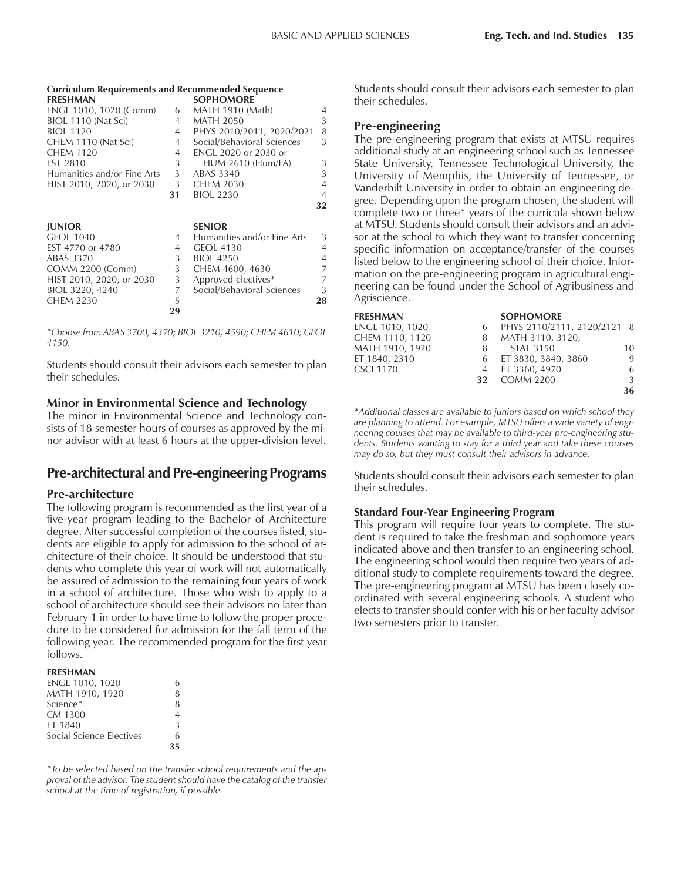| <b>Curriculum Requirements and Recommended Sequence</b> |                |                             |                |
|---------------------------------------------------------|----------------|-----------------------------|----------------|
| <b>FRESHMAN</b>                                         |                | <b>SOPHOMORE</b>            |                |
| ENGL 1010, 1020 (Comm)                                  | 6              | <b>MATH 1910 (Math)</b>     | 4              |
| BIOL 1110 (Nat Sci)                                     | 4              | <b>MATH 2050</b>            | 3              |
| <b>BIOL 1120</b>                                        | 4              | PHYS 2010/2011, 2020/2021   | 8              |
| CHEM 1110 (Nat Sci)                                     | 4              | Social/Behavioral Sciences  | 3              |
| <b>CHEM 1120</b>                                        | 4              | <b>ENGL 2020 or 2030 or</b> |                |
| EST 2810                                                | 3              | <b>HUM 2610 (Hum/FA)</b>    | 3              |
| Humanities and/or Fine Arts                             | 3              | ABAS 3340                   | 3              |
| HIST 2010, 2020, or 2030                                | 3 <sup>7</sup> | <b>CHEM 2030</b>            | $\overline{4}$ |
|                                                         | 31             | <b>BIOL 2230</b>            | 4              |
|                                                         |                |                             | 32             |
| <b>JUNIOR</b>                                           |                | <b>SENIOR</b>               |                |
| <b>GEOL 1040</b>                                        | 4              | Humanities and/or Fine Arts | 3              |
| EST 4770 or 4780                                        | 4              | <b>GEOL 4130</b>            | $\overline{4}$ |
| ABAS 3370                                               | 3              | <b>BIOL 4250</b>            | 4              |
| COMM 2200 (Comm)                                        | 3              | CHEM 4600, 4630             | 7              |
| HIST 2010, 2020, or 2030                                | 3              | Approved electives*         | 7              |
| BIOL 3220, 4240                                         | 7              | Social/Behavioral Sciences  | 3              |
| <b>CHEM 2230</b>                                        | 5              |                             | 28             |
|                                                         | 29             |                             |                |

*\*Choose from ABAS 3700, 4370; BIOL 3210, 4590; CHEM 4610; GEOL 4150.*

Students should consult their advisors each semester to plan their schedules.

#### **Minor in Environmental Science and Technology**

The minor in Environmental Science and Technology consists of 18 semester hours of courses as approved by the minor advisor with at least 6 hours at the upper-division level.

## **Pre-architectural and Pre-engineering Programs**

#### **Pre-architecture**

The following program is recommended as the first year of a five-year program leading to the Bachelor of Architecture degree. After successful completion of the courses listed, students are eligible to apply for admission to the school of architecture of their choice. It should be understood that students who complete this year of work will not automatically be assured of admission to the remaining four years of work in a school of architecture. Those who wish to apply to a school of architecture should see their advisors no later than February 1 in order to have time to follow the proper procedure to be considered for admission for the fall term of the following year. The recommended program for the first year follows.

#### **FRESHMAN**

| ENGL 1010, 1020          |    |
|--------------------------|----|
| MATH 1910, 1920          | 8  |
| Science*                 | 8  |
| CM 1300                  | 4  |
| ET 1840                  | 3  |
| Social Science Electives | 6  |
|                          | 35 |

*\*To be selected based on the transfer school requirements and the approval of the advisor. The student should have the catalog of the transfer school at the time of registration, if possible.*

Students should consult their advisors each semester to plan their schedules.

#### **Pre-engineering**

The pre-engineering program that exists at MTSU requires additional study at an engineering school such as Tennessee State University, Tennessee Technological University, the University of Memphis, the University of Tennessee, or Vanderbilt University in order to obtain an engineering degree. Depending upon the program chosen, the student will complete two or three\* years of the curricula shown below at MTSU. Students should consult their advisors and an advisor at the school to which they want to transfer concerning specific information on acceptance/transfer of the courses listed below to the engineering school of their choice. Information on the pre-engineering program in agricultural engineering can be found under the School of Agribusiness and Agriscience.

| <b>FRESHMAN</b>  |   | <b>SOPHOMORE</b>              |    |
|------------------|---|-------------------------------|----|
| ENGL 1010, 1020  |   | 6 PHYS 2110/2111, 2120/2121 8 |    |
| CHEM 1110, 1120  | 8 | MATH 3110, 3120;              |    |
| MATH 1910, 1920  | 8 | STAT 3150                     | 10 |
| ET 1840, 2310    |   | 6 ET 3830, 3840, 3860         | 9  |
| <b>CSCI 1170</b> |   | 4 ET 3360, 4970               | 6  |
|                  |   | 32 COMM 2200                  | 3  |
|                  |   |                               | 36 |

*\*Additional classes are available to juniors based on which school they are planning to attend. For example, MTSU offers a wide variety of engineering courses that may be available to third-year pre-engineering students. Students wanting to stay for a third year and take these courses may do so, but they must consult their advisors in advance.*

Students should consult their advisors each semester to plan their schedules.

#### **Standard Four-Year Engineering Program**

This program will require four years to complete. The student is required to take the freshman and sophomore years indicated above and then transfer to an engineering school. The engineering school would then require two years of additional study to complete requirements toward the degree. The pre-engineering program at MTSU has been closely coordinated with several engineering schools. A student who elects to transfer should confer with his or her faculty advisor two semesters prior to transfer.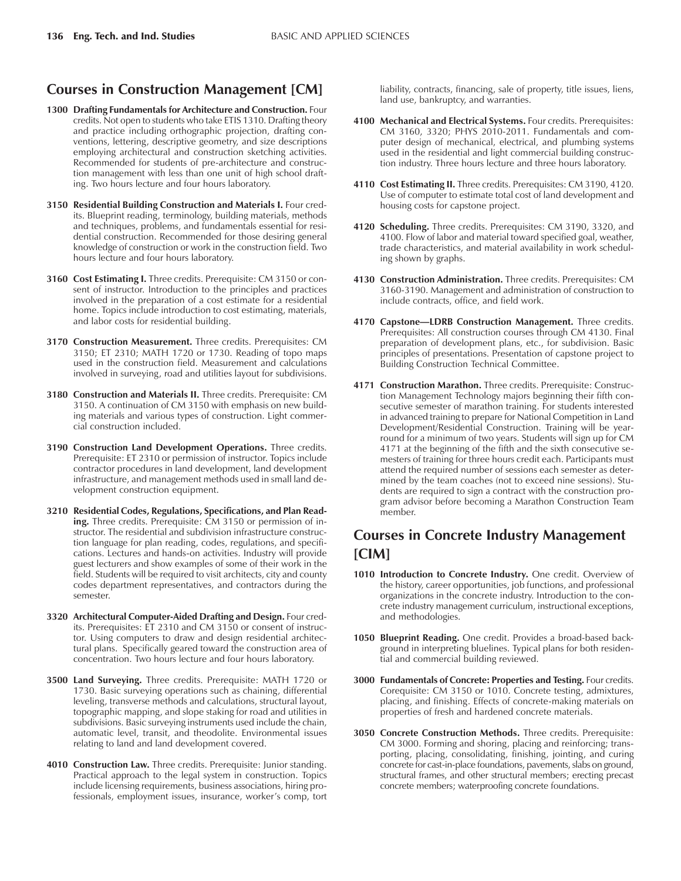# **Courses in Construction Management [CM]**

- **1300 Drafting Fundamentals for Architecture and Construction.** Four credits. Not open to students who take ETIS 1310. Drafting theory and practice including orthographic projection, drafting conventions, lettering, descriptive geometry, and size descriptions employing architectural and construction sketching activities. Recommended for students of pre-architecture and construction management with less than one unit of high school drafting. Two hours lecture and four hours laboratory.
- **3150 Residential Building Construction and Materials I.** Four credits. Blueprint reading, terminology, building materials, methods and techniques, problems, and fundamentals essential for residential construction. Recommended for those desiring general knowledge of construction or work in the construction field. Two hours lecture and four hours laboratory.
- **3160 Cost Estimating I.** Three credits. Prerequisite: CM 3150 or consent of instructor. Introduction to the principles and practices involved in the preparation of a cost estimate for a residential home. Topics include introduction to cost estimating, materials, and labor costs for residential building.
- **3170 Construction Measurement.** Three credits. Prerequisites: CM 3150; ET 2310; MATH 1720 or 1730. Reading of topo maps used in the construction field. Measurement and calculations involved in surveying, road and utilities layout for subdivisions.
- **3180 Construction and Materials II.** Three credits. Prerequisite: CM 3150. A continuation of CM 3150 with emphasis on new building materials and various types of construction. Light commercial construction included.
- **3190 Construction Land Development Operations.** Three credits. Prerequisite: ET 2310 or permission of instructor. Topics include contractor procedures in land development, land development infrastructure, and management methods used in small land development construction equipment.
- **3210 Residential Codes, Regulations, Specifications, and Plan Reading.** Three credits. Prerequisite: CM 3150 or permission of instructor. The residential and subdivision infrastructure construction language for plan reading, codes, regulations, and specifications. Lectures and hands-on activities. Industry will provide guest lecturers and show examples of some of their work in the field. Students will be required to visit architects, city and county codes department representatives, and contractors during the semester.
- **3320 Architectural Computer-Aided Drafting and Design.** Four credits. Prerequisites: ET 2310 and CM 3150 or consent of instructor. Using computers to draw and design residential architectural plans. Specifically geared toward the construction area of concentration. Two hours lecture and four hours laboratory.
- **3500 Land Surveying.** Three credits. Prerequisite: MATH 1720 or 1730. Basic surveying operations such as chaining, differential leveling, transverse methods and calculations, structural layout, topographic mapping, and slope staking for road and utilities in subdivisions. Basic surveying instruments used include the chain, automatic level, transit, and theodolite. Environmental issues relating to land and land development covered.
- **4010 Construction Law.** Three credits. Prerequisite: Junior standing. Practical approach to the legal system in construction. Topics include licensing requirements, business associations, hiring professionals, employment issues, insurance, worker's comp, tort

liability, contracts, financing, sale of property, title issues, liens, land use, bankruptcy, and warranties.

- **4100 Mechanical and Electrical Systems.** Four credits. Prerequisites: CM 3160, 3320; PHYS 2010-2011. Fundamentals and computer design of mechanical, electrical, and plumbing systems used in the residential and light commercial building construction industry. Three hours lecture and three hours laboratory.
- **4110 Cost Estimating II.** Three credits. Prerequisites: CM 3190, 4120. Use of computer to estimate total cost of land development and housing costs for capstone project.
- **4120 Scheduling.** Three credits. Prerequisites: CM 3190, 3320, and 4100. Flow of labor and material toward specified goal, weather, trade characteristics, and material availability in work scheduling shown by graphs.
- **4130 Construction Administration.** Three credits. Prerequisites: CM 3160-3190. Management and administration of construction to include contracts, office, and field work.
- 4170 Capstone-LDRB Construction Management. Three credits. Prerequisites: All construction courses through CM 4130. Final preparation of development plans, etc., for subdivision. Basic principles of presentations. Presentation of capstone project to Building Construction Technical Committee.
- **4171 Construction Marathon.** Three credits. Prerequisite: Construction Management Technology majors beginning their fifth consecutive semester of marathon training. For students interested in advanced training to prepare for National Competition in Land Development/Residential Construction. Training will be yearround for a minimum of two years. Students will sign up for CM 4171 at the beginning of the fifth and the sixth consecutive semesters of training for three hours credit each. Participants must attend the required number of sessions each semester as determined by the team coaches (not to exceed nine sessions). Students are required to sign a contract with the construction program advisor before becoming a Marathon Construction Team member.

# **Courses in Concrete Industry Management [CIM]**

- **1010 Introduction to Concrete Industry.** One credit. Overview of the history, career opportunities, job functions, and professional organizations in the concrete industry. Introduction to the concrete industry management curriculum, instructional exceptions, and methodologies.
- **1050 Blueprint Reading.** One credit. Provides a broad-based background in interpreting bluelines. Typical plans for both residential and commercial building reviewed.
- **3000 Fundamentals of Concrete: Properties and Testing.** Four credits. Corequisite: CM 3150 or 1010. Concrete testing, admixtures, placing, and finishing. Effects of concrete-making materials on properties of fresh and hardened concrete materials.
- **3050 Concrete Construction Methods.** Three credits. Prerequisite: CM 3000. Forming and shoring, placing and reinforcing; transporting, placing, consolidating, finishing, jointing, and curing concrete for cast-in-place foundations, pavements, slabs on ground, structural frames, and other structural members; erecting precast concrete members; waterproofing concrete foundations.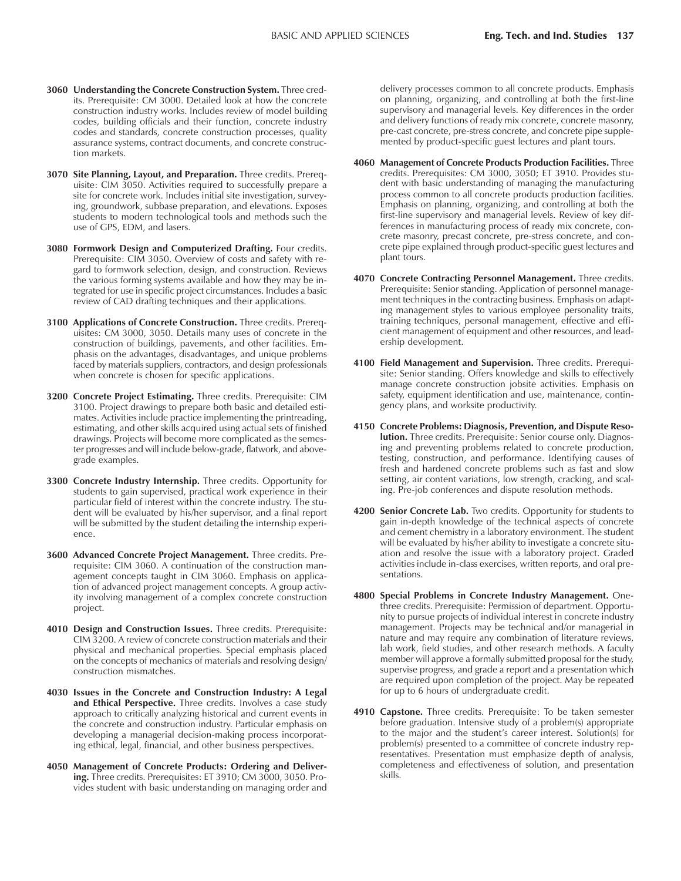- **3060 Understanding the Concrete Construction System.** Three credits. Prerequisite: CM 3000. Detailed look at how the concrete construction industry works. Includes review of model building codes, building officials and their function, concrete industry codes and standards, concrete construction processes, quality assurance systems, contract documents, and concrete construction markets.
- **3070 Site Planning, Layout, and Preparation.** Three credits. Prerequisite: CIM 3050. Activities required to successfully prepare a site for concrete work. Includes initial site investigation, surveying, groundwork, subbase preparation, and elevations. Exposes students to modern technological tools and methods such the use of GPS, EDM, and lasers.
- **3080 Formwork Design and Computerized Drafting.** Four credits. Prerequisite: CIM 3050. Overview of costs and safety with regard to formwork selection, design, and construction. Reviews the various forming systems available and how they may be integrated for use in specific project circumstances. Includes a basic review of CAD drafting techniques and their applications.
- **3100 Applications of Concrete Construction.** Three credits. Prerequisites: CM 3000, 3050. Details many uses of concrete in the construction of buildings, pavements, and other facilities. Emphasis on the advantages, disadvantages, and unique problems faced by materials suppliers, contractors, and design professionals when concrete is chosen for specific applications.
- **3200 Concrete Project Estimating.** Three credits. Prerequisite: CIM 3100. Project drawings to prepare both basic and detailed estimates. Activities include practice implementing the printreading, estimating, and other skills acquired using actual sets of finished drawings. Projects will become more complicated as the semester progresses and will include below-grade, flatwork, and abovegrade examples.
- **3300 Concrete Industry Internship.** Three credits. Opportunity for students to gain supervised, practical work experience in their particular field of interest within the concrete industry. The student will be evaluated by his/her supervisor, and a final report will be submitted by the student detailing the internship experience.
- **3600 Advanced Concrete Project Management.** Three credits. Prerequisite: CIM 3060. A continuation of the construction management concepts taught in CIM 3060. Emphasis on application of advanced project management concepts. A group activity involving management of a complex concrete construction project.
- **4010 Design and Construction Issues.** Three credits. Prerequisite: CIM 3200. A review of concrete construction materials and their physical and mechanical properties. Special emphasis placed on the concepts of mechanics of materials and resolving design/ construction mismatches.
- **4030 Issues in the Concrete and Construction Industry: A Legal and Ethical Perspective.** Three credits. Involves a case study approach to critically analyzing historical and current events in the concrete and construction industry. Particular emphasis on developing a managerial decision-making process incorporating ethical, legal, financial, and other business perspectives.
- **4050 Management of Concrete Products: Ordering and Delivering.** Three credits. Prerequisites: ET 3910; CM 3000, 3050. Provides student with basic understanding on managing order and

delivery processes common to all concrete products. Emphasis on planning, organizing, and controlling at both the first-line supervisory and managerial levels. Key differences in the order and delivery functions of ready mix concrete, concrete masonry, pre-cast concrete, pre-stress concrete, and concrete pipe supplemented by product-specific guest lectures and plant tours.

- **4060 Management of Concrete Products Production Facilities.** Three credits. Prerequisites: CM 3000, 3050; ET 3910. Provides student with basic understanding of managing the manufacturing process common to all concrete products production facilities. Emphasis on planning, organizing, and controlling at both the first-line supervisory and managerial levels. Review of key differences in manufacturing process of ready mix concrete, concrete masonry, precast concrete, pre-stress concrete, and concrete pipe explained through product-specific guest lectures and plant tours.
- **4070 Concrete Contracting Personnel Management.** Three credits. Prerequisite: Senior standing. Application of personnel management techniques in the contracting business. Emphasis on adapting management styles to various employee personality traits, training techniques, personal management, effective and efficient management of equipment and other resources, and leadership development.
- **4100 Field Management and Supervision.** Three credits. Prerequisite: Senior standing. Offers knowledge and skills to effectively manage concrete construction jobsite activities. Emphasis on safety, equipment identification and use, maintenance, contingency plans, and worksite productivity.
- **4150 Concrete Problems: Diagnosis, Prevention, and Dispute Resolution.** Three credits. Prerequisite: Senior course only. Diagnosing and preventing problems related to concrete production, testing, construction, and performance. Identifying causes of fresh and hardened concrete problems such as fast and slow setting, air content variations, low strength, cracking, and scaling. Pre-job conferences and dispute resolution methods.
- **4200 Senior Concrete Lab.** Two credits. Opportunity for students to gain in-depth knowledge of the technical aspects of concrete and cement chemistry in a laboratory environment. The student will be evaluated by his/her ability to investigate a concrete situation and resolve the issue with a laboratory project. Graded activities include in-class exercises, written reports, and oral presentations.
- **4800 Special Problems in Concrete Industry Management.** Onethree credits. Prerequisite: Permission of department. Opportunity to pursue projects of individual interest in concrete industry management. Projects may be technical and/or managerial in nature and may require any combination of literature reviews, lab work, field studies, and other research methods. A faculty member will approve a formally submitted proposal for the study, supervise progress, and grade a report and a presentation which are required upon completion of the project. May be repeated for up to 6 hours of undergraduate credit.
- **4910 Capstone.** Three credits. Prerequisite: To be taken semester before graduation. Intensive study of a problem(s) appropriate to the major and the student's career interest. Solution(s) for problem(s) presented to a committee of concrete industry representatives. Presentation must emphasize depth of analysis, completeness and effectiveness of solution, and presentation skills.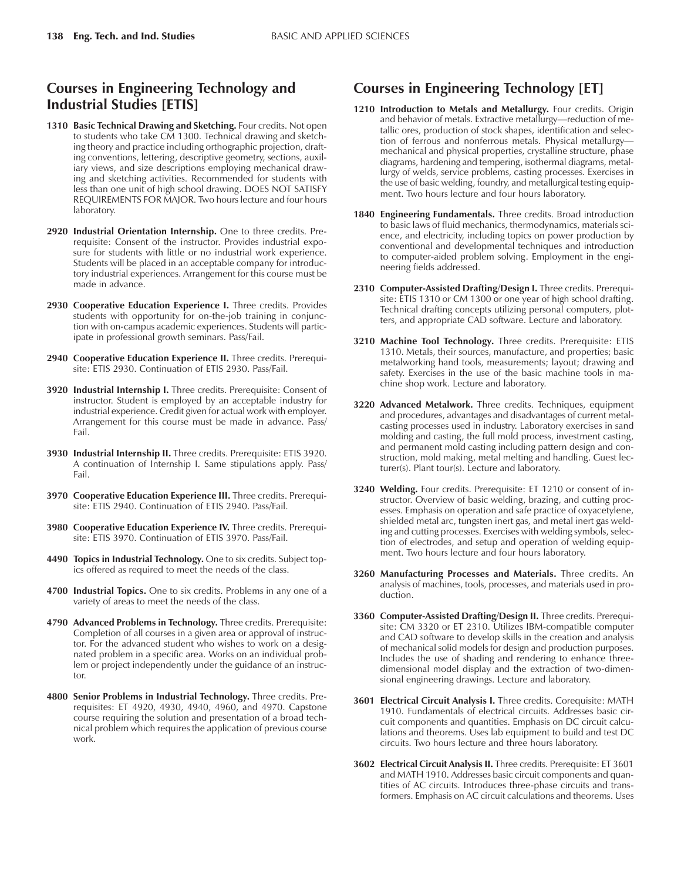## **Courses in Engineering Technology and Industrial Studies [ETIS]**

- **1310 Basic Technical Drawing and Sketching.** Four credits. Not open to students who take CM 1300. Technical drawing and sketching theory and practice including orthographic projection, drafting conventions, lettering, descriptive geometry, sections, auxiliary views, and size descriptions employing mechanical drawing and sketching activities. Recommended for students with less than one unit of high school drawing. DOES NOT SATISFY REQUIREMENTS FOR MAJOR. Two hours lecture and four hours laboratory.
- 2920 Industrial Orientation Internship. One to three credits. Prerequisite: Consent of the instructor. Provides industrial exposure for students with little or no industrial work experience. Students will be placed in an acceptable company for introductory industrial experiences. Arrangement for this course must be made in advance.
- **2930 Cooperative Education Experience I.** Three credits. Provides students with opportunity for on-the-job training in conjunction with on-campus academic experiences. Students will participate in professional growth seminars. Pass/Fail.
- 2940 Cooperative Education Experience II. Three credits. Prerequisite: ETIS 2930. Continuation of ETIS 2930. Pass/Fail.
- **3920 Industrial Internship I.** Three credits. Prerequisite: Consent of instructor. Student is employed by an acceptable industry for industrial experience. Credit given for actual work with employer. Arrangement for this course must be made in advance. Pass/ Fail.
- **3930 Industrial Internship II.** Three credits. Prerequisite: ETIS 3920. A continuation of Internship I. Same stipulations apply. Pass/ Fail.
- **3970 Cooperative Education Experience III.** Three credits. Prerequisite: ETIS 2940. Continuation of ETIS 2940. Pass/Fail.
- **3980 Cooperative Education Experience IV.** Three credits. Prerequisite: ETIS 3970. Continuation of ETIS 3970. Pass/Fail.
- **4490 Topics in Industrial Technology.** One to six credits. Subject topics offered as required to meet the needs of the class.
- **4700 Industrial Topics.** One to six credits. Problems in any one of a variety of areas to meet the needs of the class.
- **4790 Advanced Problems in Technology.** Three credits. Prerequisite: Completion of all courses in a given area or approval of instructor. For the advanced student who wishes to work on a designated problem in a specific area. Works on an individual problem or project independently under the guidance of an instructor.
- **4800 Senior Problems in Industrial Technology.** Three credits. Prerequisites: ET 4920, 4930, 4940, 4960, and 4970. Capstone course requiring the solution and presentation of a broad technical problem which requires the application of previous course work.

## **Courses in Engineering Technology [ET]**

- **1210 Introduction to Metals and Metallurgy.** Four credits. Origin and behavior of metals. Extractive metallurgy—reduction of metallic ores, production of stock shapes, identification and selection of ferrous and nonferrous metals. Physical metallurgymechanical and physical properties, crystalline structure, phase diagrams, hardening and tempering, isothermal diagrams, metallurgy of welds, service problems, casting processes. Exercises in the use of basic welding, foundry, and metallurgical testing equipment. Two hours lecture and four hours laboratory.
- **1840 Engineering Fundamentals.** Three credits. Broad introduction to basic laws of fluid mechanics, thermodynamics, materials science, and electricity, including topics on power production by conventional and developmental techniques and introduction to computer-aided problem solving. Employment in the engineering fields addressed.
- **2310 Computer-Assisted Drafting/Design I.** Three credits. Prerequisite: ETIS 1310 or CM 1300 or one year of high school drafting. Technical drafting concepts utilizing personal computers, plotters, and appropriate CAD software. Lecture and laboratory.
- **3210 Machine Tool Technology.** Three credits. Prerequisite: ETIS 1310. Metals, their sources, manufacture, and properties; basic metalworking hand tools, measurements; layout; drawing and safety. Exercises in the use of the basic machine tools in machine shop work. Lecture and laboratory.
- **3220 Advanced Metalwork.** Three credits. Techniques, equipment and procedures, advantages and disadvantages of current metalcasting processes used in industry. Laboratory exercises in sand molding and casting, the full mold process, investment casting, and permanent mold casting including pattern design and construction, mold making, metal melting and handling. Guest lecturer(s). Plant tour(s). Lecture and laboratory.
- **3240 Welding.** Four credits. Prerequisite: ET 1210 or consent of instructor. Overview of basic welding, brazing, and cutting processes. Emphasis on operation and safe practice of oxyacetylene, shielded metal arc, tungsten inert gas, and metal inert gas welding and cutting processes. Exercises with welding symbols, selection of electrodes, and setup and operation of welding equipment. Two hours lecture and four hours laboratory.
- **3260 Manufacturing Processes and Materials.** Three credits. An analysis of machines, tools, processes, and materials used in production.
- **3360 Computer-Assisted Drafting/Design II.** Three credits. Prerequisite: CM 3320 or ET 2310. Utilizes IBM-compatible computer and CAD software to develop skills in the creation and analysis of mechanical solid models for design and production purposes. Includes the use of shading and rendering to enhance threedimensional model display and the extraction of two-dimensional engineering drawings. Lecture and laboratory.
- **3601 Electrical Circuit Analysis I.** Three credits. Corequisite: MATH 1910. Fundamentals of electrical circuits. Addresses basic circuit components and quantities. Emphasis on DC circuit calculations and theorems. Uses lab equipment to build and test DC circuits. Two hours lecture and three hours laboratory.
- **3602 Electrical Circuit Analysis II.** Three credits. Prerequisite: ET 3601 and MATH 1910. Addresses basic circuit components and quantities of AC circuits. Introduces three-phase circuits and transformers. Emphasis on AC circuit calculations and theorems. Uses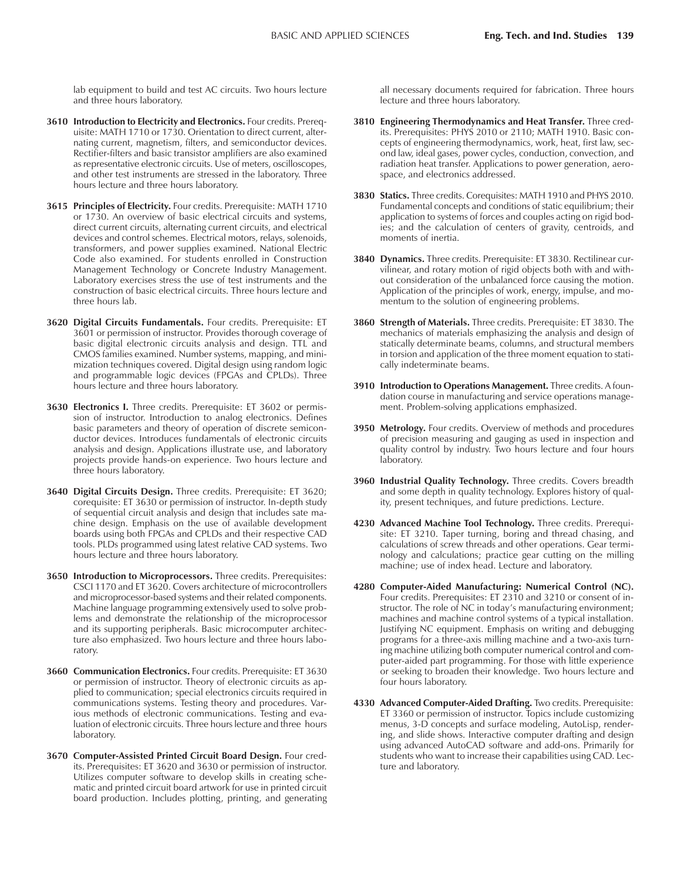lab equipment to build and test AC circuits. Two hours lecture and three hours laboratory.

- **3610 Introduction to Electricity and Electronics.** Four credits. Prerequisite: MATH 1710 or 1730. Orientation to direct current, alternating current, magnetism, filters, and semiconductor devices. Rectifier-filters and basic transistor amplifiers are also examined as representative electronic circuits. Use of meters, oscilloscopes, and other test instruments are stressed in the laboratory. Three hours lecture and three hours laboratory.
- **3615 Principles of Electricity.** Four credits. Prerequisite: MATH 1710 or 1730. An overview of basic electrical circuits and systems, direct current circuits, alternating current circuits, and electrical devices and control schemes. Electrical motors, relays, solenoids, transformers, and power supplies examined. National Electric Code also examined. For students enrolled in Construction Management Technology or Concrete Industry Management. Laboratory exercises stress the use of test instruments and the construction of basic electrical circuits. Three hours lecture and three hours lab.
- **3620 Digital Circuits Fundamentals.** Four credits. Prerequisite: ET 3601 or permission of instructor. Provides thorough coverage of basic digital electronic circuits analysis and design. TTL and CMOS families examined. Number systems, mapping, and minimization techniques covered. Digital design using random logic and programmable logic devices (FPGAs and CPLDs). Three hours lecture and three hours laboratory.
- 3630 Electronics I. Three credits. Prerequisite: ET 3602 or permission of instructor. Introduction to analog electronics. Defines basic parameters and theory of operation of discrete semiconductor devices. Introduces fundamentals of electronic circuits analysis and design. Applications illustrate use, and laboratory projects provide hands-on experience. Two hours lecture and three hours laboratory.
- **3640 Digital Circuits Design.** Three credits. Prerequisite: ET 3620; corequisite: ET 3630 or permission of instructor. In-depth study of sequential circuit analysis and design that includes sate machine design. Emphasis on the use of available development boards using both FPGAs and CPLDs and their respective CAD tools. PLDs programmed using latest relative CAD systems. Two hours lecture and three hours laboratory.
- **3650 Introduction to Microprocessors.** Three credits. Prerequisites: CSCI 1170 and ET 3620. Covers architecture of microcontrollers and microprocessor-based systems and their related components. Machine language programming extensively used to solve problems and demonstrate the relationship of the microprocessor and its supporting peripherals. Basic microcomputer architecture also emphasized. Two hours lecture and three hours laboratory.
- **3660 Communication Electronics.** Four credits. Prerequisite: ET 3630 or permission of instructor. Theory of electronic circuits as applied to communication; special electronics circuits required in communications systems. Testing theory and procedures. Various methods of electronic communications. Testing and evaluation of electronic circuits. Three hours lecture and three hours laboratory.
- **3670 Computer-Assisted Printed Circuit Board Design.** Four credits. Prerequisites: ET 3620 and 3630 or permission of instructor. Utilizes computer software to develop skills in creating schematic and printed circuit board artwork for use in printed circuit board production. Includes plotting, printing, and generating

all necessary documents required for fabrication. Three hours lecture and three hours laboratory.

- **3810 Engineering Thermodynamics and Heat Transfer.** Three credits. Prerequisites: PHYS 2010 or 2110; MATH 1910. Basic concepts of engineering thermodynamics, work, heat, first law, second law, ideal gases, power cycles, conduction, convection, and radiation heat transfer. Applications to power generation, aerospace, and electronics addressed.
- **3830 Statics.** Three credits. Corequisites: MATH 1910 and PHYS 2010. Fundamental concepts and conditions of static equilibrium; their application to systems of forces and couples acting on rigid bodies; and the calculation of centers of gravity, centroids, and moments of inertia.
- **3840 Dynamics.** Three credits. Prerequisite: ET 3830. Rectilinear curvilinear, and rotary motion of rigid objects both with and without consideration of the unbalanced force causing the motion. Application of the principles of work, energy, impulse, and momentum to the solution of engineering problems.
- **3860 Strength of Materials.** Three credits. Prerequisite: ET 3830. The mechanics of materials emphasizing the analysis and design of statically determinate beams, columns, and structural members in torsion and application of the three moment equation to statically indeterminate beams.
- **3910 Introduction to Operations Management.** Three credits. A foundation course in manufacturing and service operations management. Problem-solving applications emphasized.
- **3950 Metrology.** Four credits. Overview of methods and procedures of precision measuring and gauging as used in inspection and quality control by industry. Two hours lecture and four hours laboratory.
- **3960 Industrial Quality Technology.** Three credits. Covers breadth and some depth in quality technology. Explores history of quality, present techniques, and future predictions. Lecture.
- **4230 Advanced Machine Tool Technology.** Three credits. Prerequisite: ET 3210. Taper turning, boring and thread chasing, and calculations of screw threads and other operations. Gear terminology and calculations; practice gear cutting on the milling machine; use of index head. Lecture and laboratory.
- **4280 Computer-Aided Manufacturing: Numerical Control (NC).** Four credits. Prerequisites: ET 2310 and 3210 or consent of instructor. The role of NC in today's manufacturing environment; machines and machine control systems of a typical installation. Justifying NC equipment. Emphasis on writing and debugging programs for a three-axis milling machine and a two-axis turning machine utilizing both computer numerical control and computer-aided part programming. For those with little experience or seeking to broaden their knowledge. Two hours lecture and four hours laboratory.
- **4330 Advanced Computer-Aided Drafting.** Two credits. Prerequisite: ET 3360 or permission of instructor. Topics include customizing menus, 3-D concepts and surface modeling, AutoLisp, rendering, and slide shows. Interactive computer drafting and design using advanced AutoCAD software and add-ons. Primarily for students who want to increase their capabilities using CAD. Lecture and laboratory.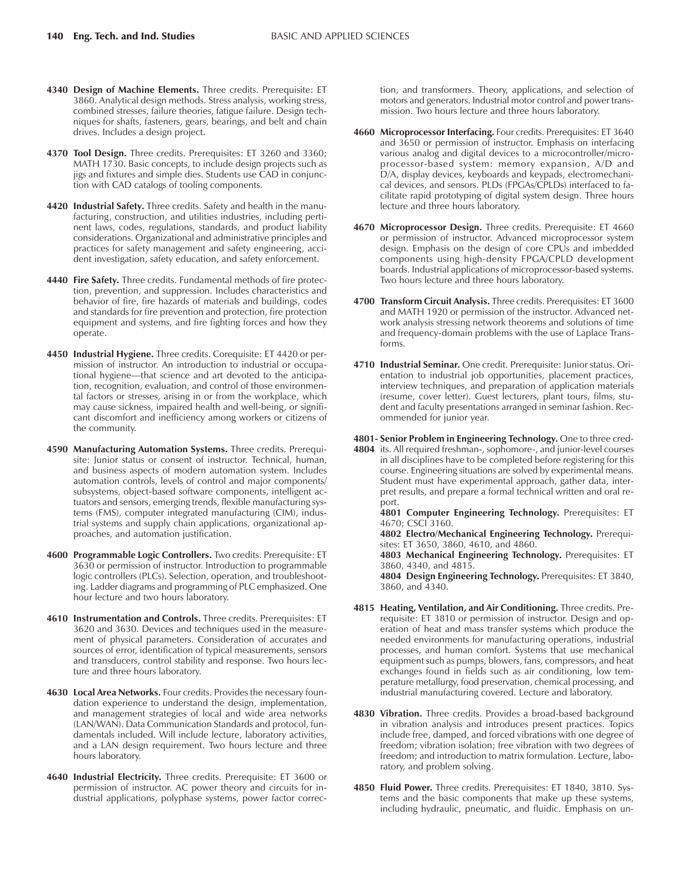- **4340 Design of Machine Elements.** Three credits. Prerequisite: ET 3860. Analytical design methods. Stress analysis, working stress, combined stresses, failure theories, fatigue failure. Design techniques for shafts, fasteners, gears, bearings, and belt and chain drives. Includes a design project.
- **4370 Tool Design.** Three credits. Prerequisites: ET 3260 and 3360; MATH 1730. Basic concepts, to include design projects such as jigs and fixtures and simple dies. Students use CAD in conjunction with CAD catalogs of tooling components.
- **4420 Industrial Safety.** Three credits. Safety and health in the manufacturing, construction, and utilities industries, including pertinent laws, codes, regulations, standards, and product liability considerations. Organizational and administrative principles and practices for safety management and safety engineering, accident investigation, safety education, and safety enforcement.
- **4440 Fire Safety.** Three credits. Fundamental methods of fire protection, prevention, and suppression. Includes characteristics and behavior of fire, fire hazards of materials and buildings, codes and standards for fire prevention and protection, fire protection equipment and systems, and fire fighting forces and how they operate.
- **4450 Industrial Hygiene.** Three credits. Corequisite: ET 4420 or permission of instructor. An introduction to industrial or occupational hygiene—that science and art devoted to the anticipation, recognition, evaluation, and control of those environmental factors or stresses, arising in or from the workplace, which may cause sickness, impaired health and well-being, or significant discomfort and inefficiency among workers or citizens of the community.
- **4590 Manufacturing Automation Systems.** Three credits. Prerequisite: Junior status or consent of instructor. Technical, human, and business aspects of modern automation system. Includes automation controls, levels of control and major components/ subsystems, object-based software components, intelligent actuators and sensors, emerging trends, flexible manufacturing systems (FMS), computer integrated manufacturing (CIM), industrial systems and supply chain applications, organizational approaches, and automation justification.
- **4600 Programmable Logic Controllers.** Two credits. Prerequisite: ET 3630 or permission of instructor. Introduction to programmable logic controllers (PLCs). Selection, operation, and troubleshooting. Ladder diagrams and programming of PLC emphasized. One hour lecture and two hours laboratory.
- **4610 Instrumentation and Controls.** Three credits. Prerequisites: ET 3620 and 3630. Devices and techniques used in the measurement of physical parameters. Consideration of accurates and sources of error, identification of typical measurements, sensors and transducers, control stability and response. Two hours lecture and three hours laboratory.
- **4630 Local Area Networks.** Four credits. Provides the necessary foundation experience to understand the design, implementation, and management strategies of local and wide area networks (LAN/WAN). Data Communication Standards and protocol, fundamentals included. Will include lecture, laboratory activities, and a LAN design requirement. Two hours lecture and three hours laboratory.
- **4640 Industrial Electricity.** Three credits. Prerequisite: ET 3600 or permission of instructor. AC power theory and circuits for industrial applications, polyphase systems, power factor correc-

tion, and transformers. Theory, applications, and selection of motors and generators. Industrial motor control and power transmission. Two hours lecture and three hours laboratory.

- **4660 Microprocessor Interfacing.** Four credits. Prerequisites: ET 3640 and 3650 or permission of instructor. Emphasis on interfacing various analog and digital devices to a microcontroller/microprocessor-based system: memory expansion, A/D and D/A, display devices, keyboards and keypads, electromechanical devices, and sensors. PLDs (FPGAs/CPLDs) interfaced to facilitate rapid prototyping of digital system design. Three hours lecture and three hours laboratory.
- **4670 Microprocessor Design.** Three credits. Prerequisite: ET 4660 or permission of instructor. Advanced microprocessor system design. Emphasis on the design of core CPUs and imbedded components using high-density FPGA/CPLD development boards. Industrial applications of microprocessor-based systems. Two hours lecture and three hours laboratory.
- **4700 Transform Circuit Analysis.** Three credits. Prerequisites: ET 3600 and MATH 1920 or permission of the instructor. Advanced network analysis stressing network theorems and solutions of time and frequency-domain problems with the use of Laplace Transforms.
- **4710 Industrial Seminar.** One credit. Prerequisite: Junior status. Orientation to industrial job opportunities, placement practices, interview techniques, and preparation of application materials (resume, cover letter). Guest lecturers, plant tours, films, student and faculty presentations arranged in seminar fashion. Recommended for junior year.

**4801- Senior Problem in Engineering Technology.** One to three cred-

**4804** its. All required freshman-, sophomore-, and junior-level courses in all disciplines have to be completed before registering for this course. Engineering situations are solved by experimental means. Student must have experimental approach, gather data, interpret results, and prepare a formal technical written and oral report.

**4801 Computer Engineering Technology.** Prerequisites: ET 4670; CSCI 3160.

**4802 Electro/Mechanical Engineering Technology.** Prerequisites: ET 3650, 3860, 4610, and 4860.

**4803 Mechanical Engineering Technology.** Prerequisites: ET 3860, 4340, and 4815.

**4804 Design Engineering Technology.** Prerequisites: ET 3840, 3860, and 4340.

- **4815 Heating, Ventilation, and Air Conditioning.** Three credits. Prerequisite: ET 3810 or permission of instructor. Design and operation of heat and mass transfer systems which produce the needed environments for manufacturing operations, industrial processes, and human comfort. Systems that use mechanical equipment such as pumps, blowers, fans, compressors, and heat exchanges found in fields such as air conditioning, low temperature metallurgy, food preservation, chemical processing, and industrial manufacturing covered. Lecture and laboratory.
- **4830 Vibration.** Three credits. Provides a broad-based background in vibration analysis and introduces present practices. Topics include free, damped, and forced vibrations with one degree of freedom; vibration isolation; free vibration with two degrees of freedom; and introduction to matrix formulation. Lecture, laboratory, and problem solving.
- **4850 Fluid Power.** Three credits. Prerequisites: ET 1840, 3810. Systems and the basic components that make up these systems, including hydraulic, pneumatic, and fluidic. Emphasis on un-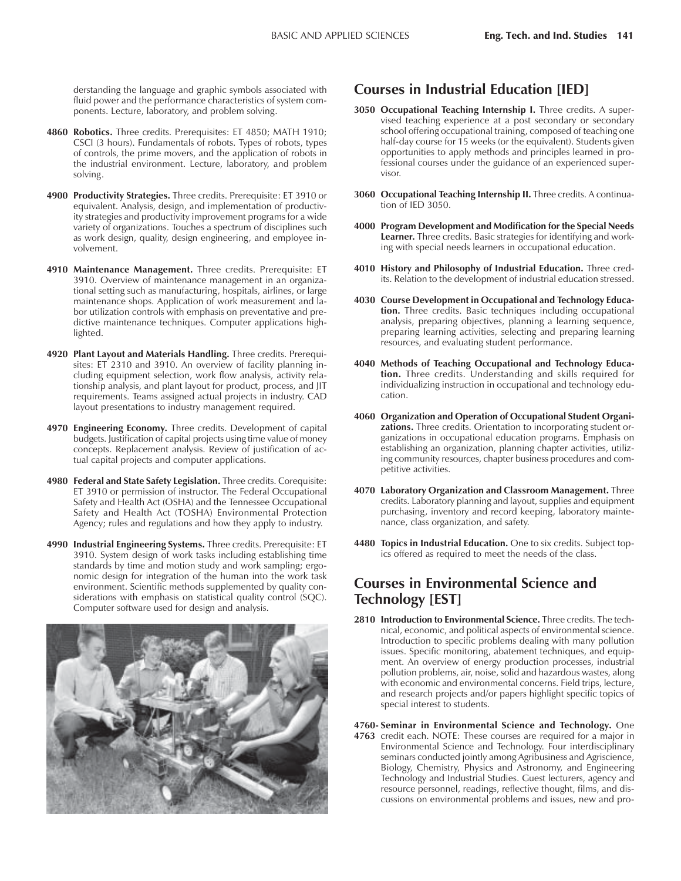derstanding the language and graphic symbols associated with fluid power and the performance characteristics of system components. Lecture, laboratory, and problem solving.

- **4860 Robotics.** Three credits. Prerequisites: ET 4850; MATH 1910; CSCI (3 hours). Fundamentals of robots. Types of robots, types of controls, the prime movers, and the application of robots in the industrial environment. Lecture, laboratory, and problem solving.
- **4900 Productivity Strategies.** Three credits. Prerequisite: ET 3910 or equivalent. Analysis, design, and implementation of productivity strategies and productivity improvement programs for a wide variety of organizations. Touches a spectrum of disciplines such as work design, quality, design engineering, and employee involvement.
- **4910 Maintenance Management.** Three credits. Prerequisite: ET 3910. Overview of maintenance management in an organizational setting such as manufacturing, hospitals, airlines, or large maintenance shops. Application of work measurement and labor utilization controls with emphasis on preventative and predictive maintenance techniques. Computer applications highlighted.
- **4920 Plant Layout and Materials Handling.** Three credits. Prerequisites: ET 2310 and 3910. An overview of facility planning including equipment selection, work flow analysis, activity relationship analysis, and plant layout for product, process, and JIT requirements. Teams assigned actual projects in industry. CAD layout presentations to industry management required.
- **4970 Engineering Economy.** Three credits. Development of capital budgets. Justification of capital projects using time value of money concepts. Replacement analysis. Review of justification of actual capital projects and computer applications.
- **4980 Federal and State Safety Legislation.** Three credits. Corequisite: ET 3910 or permission of instructor. The Federal Occupational Safety and Health Act (OSHA) and the Tennessee Occupational Safety and Health Act (TOSHA) Environmental Protection Agency; rules and regulations and how they apply to industry.
- **4990 Industrial Engineering Systems.** Three credits. Prerequisite: ET 3910. System design of work tasks including establishing time standards by time and motion study and work sampling; ergonomic design for integration of the human into the work task environment. Scientific methods supplemented by quality considerations with emphasis on statistical quality control (SQC). Computer software used for design and analysis.



## **Courses in Industrial Education [IED]**

- **3050 Occupational Teaching Internship I.** Three credits. A supervised teaching experience at a post secondary or secondary school offering occupational training, composed of teaching one half-day course for 15 weeks (or the equivalent). Students given opportunities to apply methods and principles learned in professional courses under the guidance of an experienced supervisor.
- **3060 Occupational Teaching Internship II.** Three credits. A continuation of IED 3050.
- **4000 Program Development and Modification for the Special Needs Learner.** Three credits. Basic strategies for identifying and working with special needs learners in occupational education.
- **4010 History and Philosophy of Industrial Education.** Three credits. Relation to the development of industrial education stressed.
- **4030 Course Development in Occupational and Technology Education.** Three credits. Basic techniques including occupational analysis, preparing objectives, planning a learning sequence, preparing learning activities, selecting and preparing learning resources, and evaluating student performance.
- **4040 Methods of Teaching Occupational and Technology Education.** Three credits. Understanding and skills required for individualizing instruction in occupational and technology education.
- **4060 Organization and Operation of Occupational Student Organizations.** Three credits. Orientation to incorporating student organizations in occupational education programs. Emphasis on establishing an organization, planning chapter activities, utilizing community resources, chapter business procedures and competitive activities.
- **4070 Laboratory Organization and Classroom Management.** Three credits. Laboratory planning and layout, supplies and equipment purchasing, inventory and record keeping, laboratory maintenance, class organization, and safety.
- **4480 Topics in Industrial Education.** One to six credits. Subject topics offered as required to meet the needs of the class.

## **Courses in Environmental Science and Technology [EST]**

**2810 Introduction to Environmental Science.** Three credits. The technical, economic, and political aspects of environmental science. Introduction to specific problems dealing with many pollution issues. Specific monitoring, abatement techniques, and equipment. An overview of energy production processes, industrial pollution problems, air, noise, solid and hazardous wastes, along with economic and environmental concerns. Field trips, lecture, and research projects and/or papers highlight specific topics of special interest to students.

**4760- Seminar in Environmental Science and Technology.** One

**4763** credit each. NOTE: These courses are required for a major in Environmental Science and Technology. Four interdisciplinary seminars conducted jointly among Agribusiness and Agriscience, Biology, Chemistry, Physics and Astronomy, and Engineering Technology and Industrial Studies. Guest lecturers, agency and resource personnel, readings, reflective thought, films, and discussions on environmental problems and issues, new and pro-